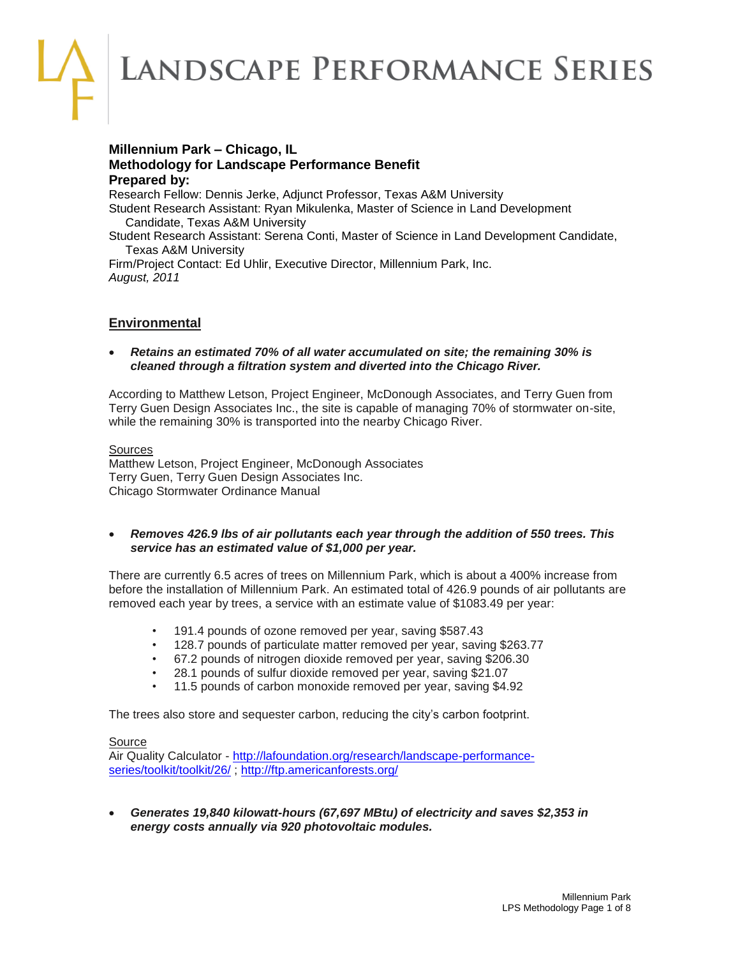LANDSCAPE PERFORMANCE SERIES

# **Millennium Park – Chicago, IL Methodology for Landscape Performance Benefit Prepared by:**

Research Fellow: Dennis Jerke, Adjunct Professor, Texas A&M University Student Research Assistant: Ryan Mikulenka, Master of Science in Land Development Candidate, Texas A&M University Student Research Assistant: Serena Conti, Master of Science in Land Development Candidate, Texas A&M University

Firm/Project Contact: Ed Uhlir, Executive Director, Millennium Park, Inc. *August, 2011* 

# **Environmental**

 *Retains an estimated 70% of all water accumulated on site; the remaining 30% is cleaned through a filtration system and diverted into the Chicago River.*

According to Matthew Letson, Project Engineer, McDonough Associates, and Terry Guen from Terry Guen Design Associates Inc., the site is capable of managing 70% of stormwater on-site, while the remaining 30% is transported into the nearby Chicago River.

**Sources** Matthew Letson, Project Engineer, McDonough Associates Terry Guen, Terry Guen Design Associates Inc. Chicago Stormwater Ordinance Manual

 *Removes 426.9 lbs of air pollutants each year through the addition of 550 trees. This service has an estimated value of \$1,000 per year.*

There are currently 6.5 acres of trees on Millennium Park, which is about a 400% increase from before the installation of Millennium Park. An estimated total of 426.9 pounds of air pollutants are removed each year by trees, a service with an estimate value of \$1083.49 per year:

- 191.4 pounds of ozone removed per year, saving \$587.43
- 128.7 pounds of particulate matter removed per year, saving \$263.77
- 67.2 pounds of nitrogen dioxide removed per year, saving \$206.30
- 28.1 pounds of sulfur dioxide removed per year, saving \$21.07
- 11.5 pounds of carbon monoxide removed per year, saving \$4.92

The trees also store and sequester carbon, reducing the city's carbon footprint.

### Source

Air Quality Calculator - [http://lafoundation.org/research/landscape-performance](http://lafoundation.org/research/landscape-performance-series/toolkit/toolkit/26/)[series/toolkit/toolkit/26/](http://lafoundation.org/research/landscape-performance-series/toolkit/toolkit/26/) ;<http://ftp.americanforests.org/>

 *Generates 19,840 kilowatt-hours (67,697 MBtu) of electricity and saves \$2,353 in energy costs annually via 920 photovoltaic modules.*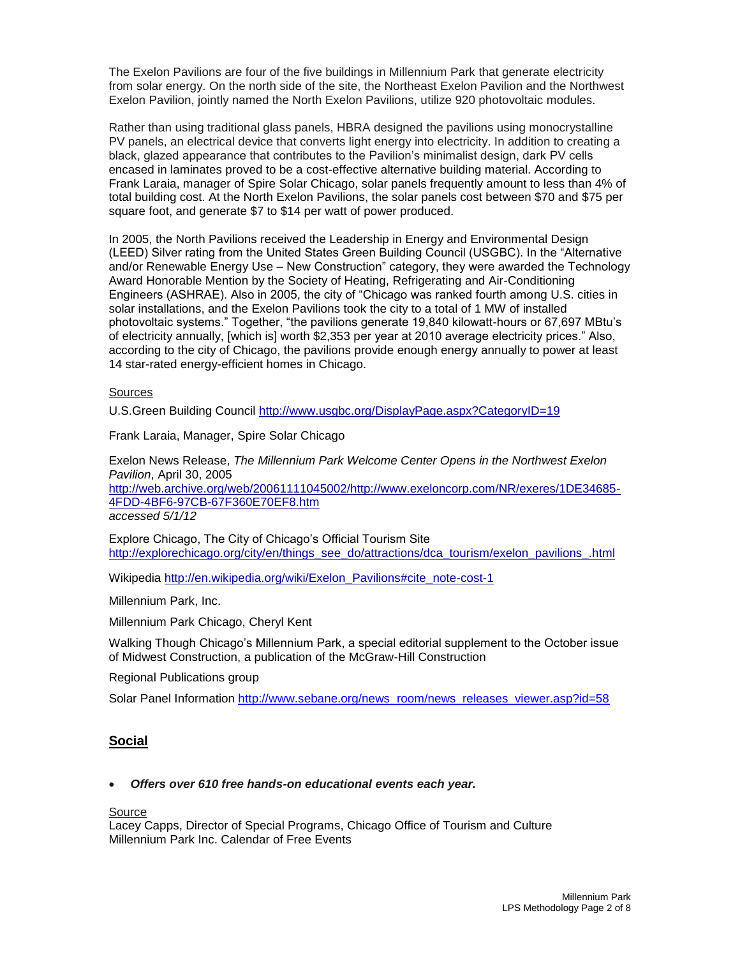The Exelon Pavilions are four of the five buildings in Millennium Park that generate electricity from solar energy. On the north side of the site, the Northeast Exelon Pavilion and the Northwest Exelon Pavilion, jointly named the North Exelon Pavilions, utilize 920 photovoltaic modules.

Rather than using traditional glass panels, HBRA designed the pavilions using monocrystalline PV panels, an electrical device that converts light energy into electricity. In addition to creating a black, glazed appearance that contributes to the Pavilion's minimalist design, dark PV cells encased in laminates proved to be a cost-effective alternative building material. According to Frank Laraia, manager of Spire Solar Chicago, solar panels frequently amount to less than 4% of total building cost. At the North Exelon Pavilions, the solar panels cost between \$70 and \$75 per square foot, and generate \$7 to \$14 per watt of power produced.

In 2005, the North Pavilions received the Leadership in Energy and Environmental Design (LEED) Silver rating from the United States Green Building Council (USGBC). In the "Alternative and/or Renewable Energy Use – New Construction" category, they were awarded the Technology Award Honorable Mention by the Society of Heating, Refrigerating and Air-Conditioning Engineers (ASHRAE). Also in 2005, the city of "Chicago was ranked fourth among U.S. cities in solar installations, and the Exelon Pavilions took the city to a total of 1 MW of installed photovoltaic systems." Together, "the pavilions generate 19,840 kilowatt-hours or 67,697 MBtu's of electricity annually, [which is] worth \$2,353 per year at 2010 average electricity prices." Also, according to the city of Chicago, the pavilions provide enough energy annually to power at least 14 star-rated energy-efficient homes in Chicago.

#### **Sources**

U.S.Green Building Council<http://www.usgbc.org/DisplayPage.aspx?CategoryID=19>

Frank Laraia, Manager, Spire Solar Chicago

Exelon News Release, *The Millennium Park Welcome Center Opens in the Northwest Exelon Pavilion*, April 30, 2005 [http://web.archive.org/web/20061111045002/http://www.exeloncorp.com/NR/exeres/1DE34685-](http://web.archive.org/web/20061111045002/http:/www.exeloncorp.com/NR/exeres/1DE34685-4FDD-4BF6-97CB-67F360E70EF8.htm)

[4FDD-4BF6-97CB-67F360E70EF8.htm](http://web.archive.org/web/20061111045002/http:/www.exeloncorp.com/NR/exeres/1DE34685-4FDD-4BF6-97CB-67F360E70EF8.htm) *accessed 5/1/12*

Explore Chicago, The City of Chicago's Official Tourism Site [http://explorechicago.org/city/en/things\\_see\\_do/attractions/dca\\_tourism/exelon\\_pavilions\\_.html](http://explorechicago.org/city/en/things_see_do/attractions/dca_tourism/exelon_pavilions_.html)

Wikipedia [http://en.wikipedia.org/wiki/Exelon\\_Pavilions#cite\\_note-cost-1](http://en.wikipedia.org/wiki/Exelon_Pavilions#cite_note-cost-1)

Millennium Park, Inc.

Millennium Park Chicago, Cheryl Kent

Walking Though Chicago's Millennium Park, a special editorial supplement to the October issue of Midwest Construction, a publication of the McGraw-Hill Construction

Regional Publications group

Solar Panel Information [http://www.sebane.org/news\\_room/news\\_releases\\_viewer.asp?id=58](http://www.sebane.org/news_room/news_releases_viewer.asp?id=58)

# **Social**

## *Offers over 610 free hands-on educational events each year.*

Source

Lacey Capps, Director of Special Programs, Chicago Office of Tourism and Culture Millennium Park Inc. Calendar of Free Events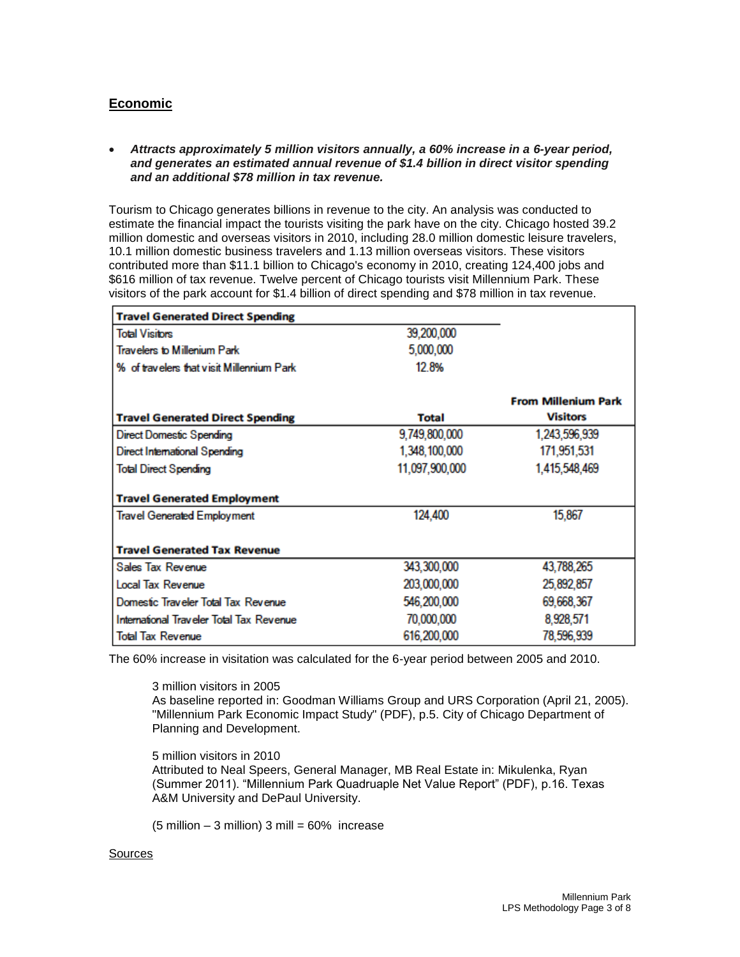# **Economic**

### *Attracts approximately 5 million visitors annually, a 60% increase in a 6-year period, and generates an estimated annual revenue of \$1.4 billion in direct visitor spending and an additional \$78 million in tax revenue.*

Tourism to Chicago generates billions in revenue to the city. An analysis was conducted to estimate the financial impact the tourists visiting the park have on the city. Chicago hosted 39.2 million domestic and overseas visitors in 2010, including 28.0 million domestic leisure travelers, 10.1 million domestic business travelers and 1.13 million overseas visitors. These visitors contributed more than \$11.1 billion to Chicago's economy in 2010, creating 124,400 jobs and \$616 million of tax revenue. Twelve percent of Chicago tourists visit Millennium Park. These visitors of the park account for \$1.4 billion of direct spending and \$78 million in tax revenue.

| <b>Travel Generated Direct Spending</b>   |                |                            |
|-------------------------------------------|----------------|----------------------------|
| <b>Total Visitors</b>                     | 39,200,000     |                            |
| Travelers to Millenium Park               | 5,000,000      |                            |
| % of travelers that visit Millennium Park | 128%           |                            |
|                                           |                | <b>From Millenium Park</b> |
| <b>Travel Generated Direct Spending</b>   | <b>Total</b>   | <b>Visitors</b>            |
| Direct Domestic Spending                  | 9,749,800,000  | 1,243,596,939              |
| Direct International Spending             | 1,348,100,000  | 171,951,531                |
| <b>Total Direct Spending</b>              | 11,097,900,000 | 1,415,548,469              |
| <b>Travel Generated Employment</b>        |                |                            |
| <b>Travel Generated Employment</b>        | 124,400        | 15,867                     |
| <b>Travel Generated Tax Revenue</b>       |                |                            |
| Sales Tax Revenue                         | 343,300,000    | 43,788,265                 |
| <b>Local Tax Revenue</b>                  | 203,000,000    | 25,892,857                 |
| Domestic Traveler Total Tax Revenue       | 546,200,000    | 69,668,367                 |
| International Traveler Total Tax Revenue  | 70,000,000     | 8,928,571                  |
| <b>Total Tax Revenue</b>                  | 616,200,000    | 78,596,939                 |

The 60% increase in visitation was calculated for the 6-year period between 2005 and 2010.

### 3 million visitors in 2005

As baseline reported in: Goodman Williams Group and URS Corporation (April 21, 2005). "Millennium Park Economic Impact Study" (PDF), p.5. City of Chicago Department of Planning and Development.

5 million visitors in 2010 Attributed to Neal Speers, General Manager, MB Real Estate in: Mikulenka, Ryan (Summer 2011). "Millennium Park Quadruaple Net Value Report" (PDF), p.16. Texas

A&M University and DePaul University.

 $(5 \text{ million} - 3 \text{ million})$  3 mill = 60% increase

### **Sources**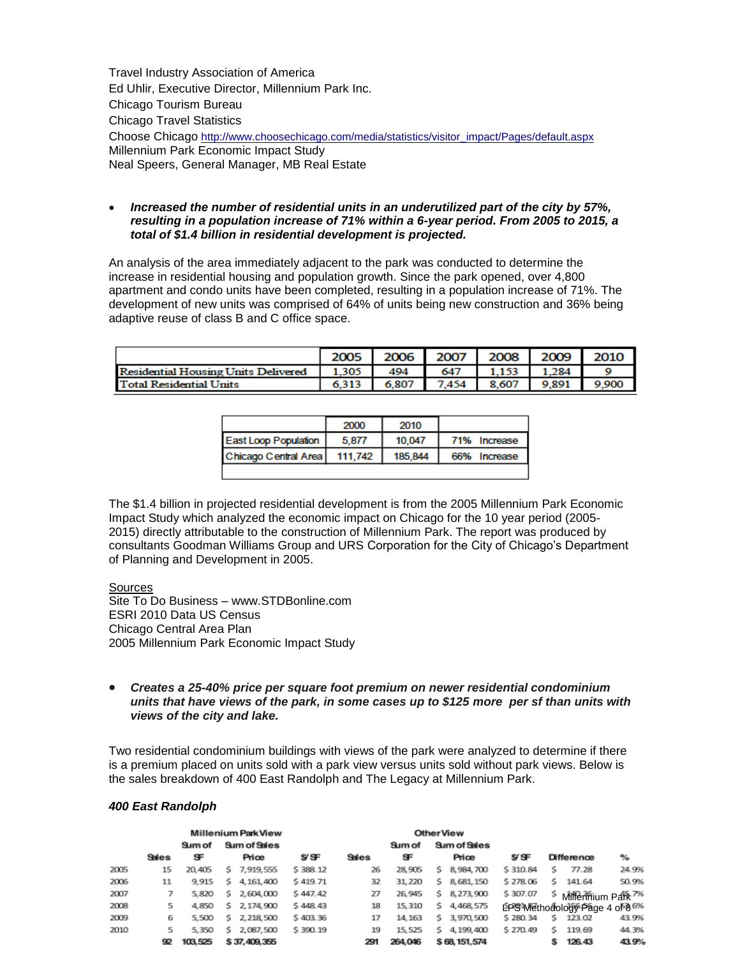Travel Industry Association of America Ed Uhlir, Executive Director, Millennium Park Inc. Chicago Tourism Bureau Chicago Travel Statistics Choose Chicago [http://www.choosechicago.com/media/statistics/visitor\\_impact/Pages/default.aspx](http://www.choosechicago.com/media/statistics/visitor_impact/Pages/default.aspx) Millennium Park Economic Impact Study Neal Speers, General Manager, MB Real Estate

 *Increased the number of residential units in an underutilized part of the city by 57%, resulting in a population increase of 71% within a 6-year period. From 2005 to 2015, a total of \$1.4 billion in residential development is projected.*

An analysis of the area immediately adjacent to the park was conducted to determine the increase in residential housing and population growth. Since the park opened, over 4,800 apartment and condo units have been completed, resulting in a population increase of 71%. The development of new units was comprised of 64% of units being new construction and 36% being adaptive reuse of class B and C office space.

|                                            |       | 2006  | 2007  | 2008  | 2009  |       |
|--------------------------------------------|-------|-------|-------|-------|-------|-------|
| <b>Residential Housing Units Delivered</b> | 1.305 | 494   | 647   |       | 1.284 |       |
| <b>Total Residential Units</b>             | 6.313 | 6.807 | 7.454 | 8.607 | 9.891 | 9,900 |

|                             | 2000    | 2010    |              |
|-----------------------------|---------|---------|--------------|
| <b>East Loop Population</b> | 5.877   | 10.047  | 71% Increase |
| Chicago Central Area        | 111.742 | 185,844 | 66% Increase |
|                             |         |         |              |

The \$1.4 billion in projected residential development is from the 2005 Millennium Park Economic Impact Study which analyzed the economic impact on Chicago for the 10 year period (2005- 2015) directly attributable to the construction of Millennium Park. The report was produced by consultants Goodman Williams Group and URS Corporation for the City of Chicago's Department of Planning and Development in 2005.

Sources Site To Do Business – www.STDBonline.com ESRI 2010 Data US Census Chicago Central Area Plan 2005 Millennium Park Economic Impact Study

 *Creates a 25-40% price per square foot premium on newer residential condominium units that have views of the park, in some cases up to \$125 more per sf than units with views of the city and lake.*

Two residential condominium buildings with views of the park were analyzed to determine if there is a premium placed on units sold with a park view versus units sold without park views. Below is the sales breakdown of 400 East Randolph and The Legacy at Millennium Park.

|      |              |         | Millenium Park View |              |          |       | <b>OtherView</b> |     |              |          |    |                                             |       |
|------|--------------|---------|---------------------|--------------|----------|-------|------------------|-----|--------------|----------|----|---------------------------------------------|-------|
|      |              | Sum of  |                     | Sum of Sales |          |       | Sum of           |     | Sum of Sales |          |    |                                             |       |
|      | <b>Sales</b> | æ       |                     | Price        | s⁄s∓     | Sales | Œ                |     | Price        | s⁄s∓     |    | Difference                                  | ℅     |
| 2005 | 15           | 20,405  | s.                  | 7,919,555    | \$388.12 | 26    | 28,905           | s.  | 8,984,700    | \$310.84 | s. | 77.28                                       | 24.9% |
| 2006 | 11           | 9.915   | s                   | 4, 161, 400  | \$419.71 | 32    | 31, 220          | s.  | 8, 681, 150  | \$278.06 | s. | 141.64                                      | 50.9% |
| 2007 |              | 5,820   | s                   | 2,604,000    | \$447.42 | 27    | 26,945           | Ś.  | 8,273,900    | \$307.07 |    | <sup>\$</sup> Millennium Park <sup>7%</sup> |       |
| 2008 | 5            | 4,850   | s.                  | 2,174,900    | \$448.43 | 18    | 15,310           | \$. | 4,468,575    |          |    | LPS Methodology Page 4 of 8 6%              |       |
| 2009 | 6            | 5,500   | s.                  | 2, 218, 500  | \$403.36 | 17    | 14, 163          | Ś.  | 3,970,500    | \$280.34 | Š. | 123.02                                      | 43.9% |
| 2010 | 5            | 5,350   | Ś.                  | 2,087,500    | \$390.19 | 19    | 15,525           | S.  | 4, 199, 400  | \$270.49 | Ś. | 119.69                                      | 44.3% |
|      | 92           | 103.525 |                     | \$37,409,355 |          | 291   | 264.046          |     | \$68,151,574 |          | s. | 126.43                                      | 43.9% |

#### *400 East Randolph*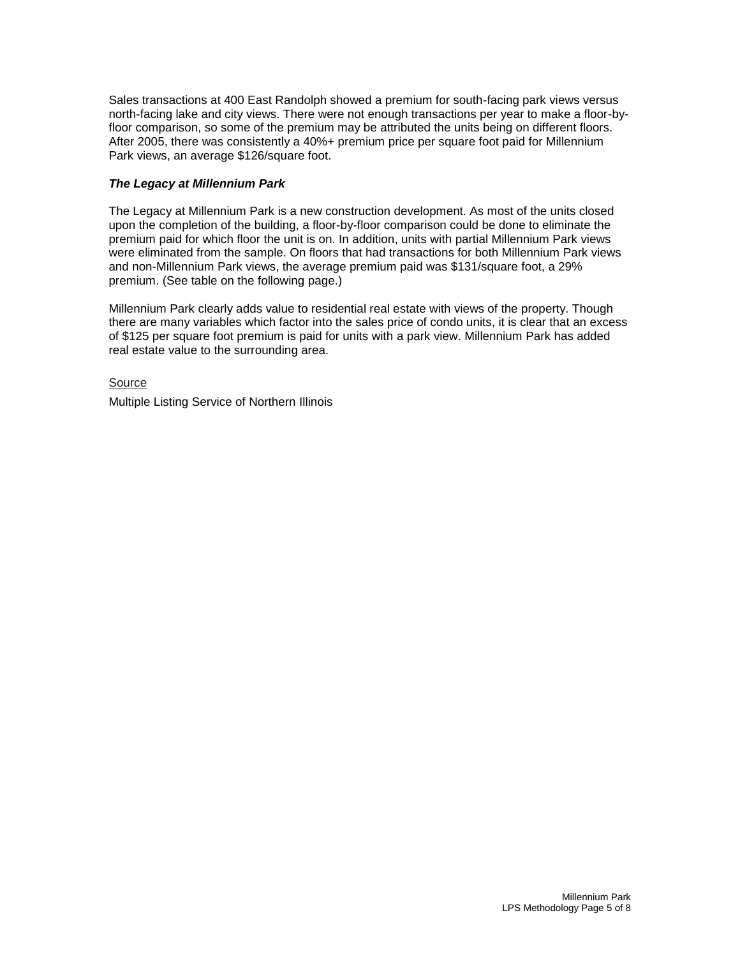Sales transactions at 400 East Randolph showed a premium for south-facing park views versus north-facing lake and city views. There were not enough transactions per year to make a floor-byfloor comparison, so some of the premium may be attributed the units being on different floors. After 2005, there was consistently a 40%+ premium price per square foot paid for Millennium Park views, an average \$126/square foot.

## *The Legacy at Millennium Park*

The Legacy at Millennium Park is a new construction development. As most of the units closed upon the completion of the building, a floor-by-floor comparison could be done to eliminate the premium paid for which floor the unit is on. In addition, units with partial Millennium Park views were eliminated from the sample. On floors that had transactions for both Millennium Park views and non-Millennium Park views, the average premium paid was \$131/square foot, a 29% premium. (See table on the following page.)

Millennium Park clearly adds value to residential real estate with views of the property. Though there are many variables which factor into the sales price of condo units, it is clear that an excess of \$125 per square foot premium is paid for units with a park view. Millennium Park has added real estate value to the surrounding area.

**Source** Multiple Listing Service of Northern Illinois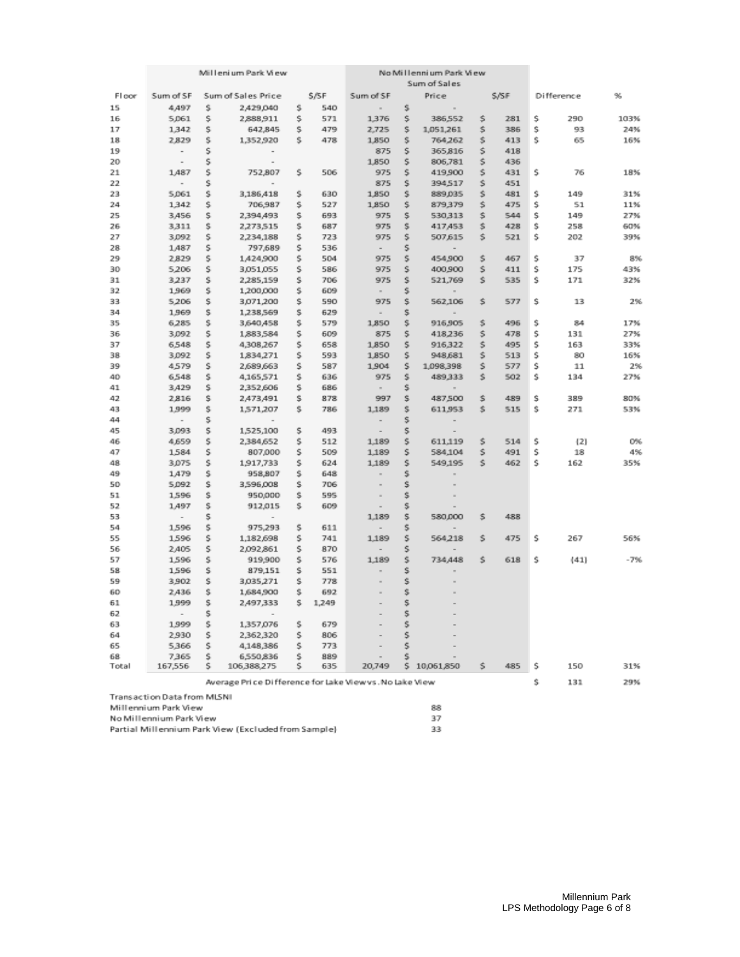|       |                                   | Millenium Park View |                                                         |         | No Millennium Park View |                                             |     |                          |    |      |    |            |       |
|-------|-----------------------------------|---------------------|---------------------------------------------------------|---------|-------------------------|---------------------------------------------|-----|--------------------------|----|------|----|------------|-------|
|       |                                   |                     |                                                         |         |                         |                                             |     | Sum of Sales             |    |      |    |            |       |
| Floor | Sum of SF                         |                     | Sum of Sales Price                                      |         | \$/SF                   | Sum of SF                                   |     | Price                    |    | S/SF |    | Difference | 96    |
| 15    | 4,497                             | Ś.                  | 2,429,040                                               | \$.     | 540                     |                                             | \$. | $\sim$                   |    |      |    |            |       |
| 16    | 5,061                             | \$                  | 2,888,911                                               | \$      | 571                     | 1,376                                       | \$  | 386,552                  | \$ | 281  | \$ | 290        | 103%  |
| 17    | 1,342                             | \$                  | 642,845                                                 | \$      | 479                     | 2,725                                       | \$  | 1,051,261                | \$ | 386  | \$ | 93         | 24%   |
| 18    | 2,829                             | \$                  | 1,352,920                                               | s       | 478                     | 1,850                                       | \$  | 764,262                  | \$ | 413  | \$ | 65         | 16%   |
| 19    | $\overline{\phantom{a}}$          | 5                   | $\,$                                                    |         |                         | 875                                         | 5   | 365,816                  | s  | 418  |    |            |       |
| 20    | $\overline{\phantom{a}}$          | \$                  | $\qquad \qquad =$                                       |         |                         | 1,850                                       | \$  | 806,781                  | \$ | 436  |    |            |       |
| 21    | 1,487                             | s                   | 752,807                                                 | s       | 506                     | 975                                         | s   | 419,900                  | s  | 431  | s  | 76         | 18%   |
| 22    | $\overline{\phantom{a}}$          | \$                  |                                                         |         |                         | 875                                         | \$  | 394,517                  | s  | 451  |    |            |       |
| 23    | 5.061                             | s                   | 3,186,418                                               | \$      | 630                     | 1,850                                       | s.  | 889,035                  | s  | 481  | Ś  | 149        | 31%   |
| 24    | 1,342                             | \$                  | 706,987                                                 | \$      | 527                     | 1,850                                       | \$  | 879,379                  | \$ | 475  | \$ | 51         | 11%   |
| 25    | 3,456                             | \$                  | 2,394,493                                               | \$      | 693                     | 975                                         | \$  | 530,313                  | \$ | 544  | Ś  | 149        | 27%   |
| 26    | 3,311                             | \$                  | 2,273,515                                               | \$      | 687                     | 975                                         | \$  | 417,453                  | \$ | 428  | \$ | 258        | 60%   |
| 27    | 3,092                             | \$                  | 2,234,188                                               | \$      | 723                     | 975                                         | \$  | 507,615                  | \$ | 521  | \$ | 202        | 39%   |
| 28    | 1,487                             | \$                  | 797,689                                                 | 5       | 536                     | $\overline{\phantom{a}}$                    | 5   | $\overline{\phantom{a}}$ |    |      |    |            |       |
| 29    | 2,829                             | s                   | 1,424,900                                               | s       | 504                     | 975                                         | s   | 454,900                  | \$ | 467  | \$ | 37         | 8%    |
| 30    | 5,206                             | s                   | 3,051,055                                               | s       | 586                     | 975                                         | s.  | 400,900                  | s  | 411  | Ś  | 175        | 43%   |
| 31    | 3,237                             | \$                  | 2,285,159                                               | s       | 706                     | 975                                         | \$  | 521,769                  | \$ | 535  | \$ | 171        | 32%   |
| 32    | 1,969                             | \$                  | 1,200,000                                               | \$      | 609                     | $\sim$                                      | \$  | $\,$                     |    |      |    |            |       |
| 33    | 5,206                             | \$                  | 3,071,200                                               | \$      | 590                     | 975                                         | \$  | 562,106                  | \$ | 577  | \$ | 13         | 2%    |
| 34    | 1,969                             | \$                  | 1,238,569                                               | \$      | 629                     | $\sim$                                      | \$  |                          |    |      |    |            |       |
| 35    | 6,285                             | \$                  | 3,640,458                                               | \$      | 579                     | 1,850                                       | \$  | 916,905                  | \$ | 496  | \$ | 84         | 17%   |
| 36    | 3,092                             | \$                  | 1,883,584                                               | \$      | 609                     | 875                                         | \$  | 418,236                  | \$ | 478  | \$ | 131        | 27%   |
| 37    | 6,548                             | s                   | 4,308,267                                               | 5       | 658                     | 1,850                                       | 5   | 916,322                  | \$ | 495  | \$ | 163        | 33%   |
| 38    | 3,092                             | s.                  | 1,834,271                                               | s       | 593                     | 1.850                                       | s.  | 948,681                  | s  | 513  | s  | 80         | 16%   |
| 39    | 4,579                             | s.                  | 2,689,663                                               | s.      | 587                     | 1,904                                       | \$. | 1,098,398                | s  | 577  | s  | 11         | 2%    |
| 40    | 6,548                             | \$                  | 4,165,571                                               | \$      | 636                     | 975                                         | \$  | 489,333                  | s  | 502  | s  | 134        | 27%   |
| 41    | 3,429                             | \$                  | 2,352,606                                               | \$      | 686                     | $\sim$                                      | \$  | $\sim$                   |    |      |    |            |       |
| 42    | 2816                              | \$                  | 2,473,491                                               | \$      | 878                     | 997                                         | \$  | 487,500                  | \$ | 489  | \$ | 389        | 80%   |
| 43    | 1,999                             | \$                  | 1,571,207                                               | s.      | 786                     | 1,189                                       | \$  | 611,953                  | \$ | 515  | \$ | 271        | 53%   |
| 44    | $\overline{\phantom{a}}$          | \$                  | $\sim$                                                  |         |                         |                                             | \$  |                          |    |      |    |            |       |
| 45    | 3,093                             | \$                  | 1,525,100                                               | 5       | 493                     | $\sim$<br>$\sim$                            | \$  | $\blacksquare$           |    |      |    |            |       |
| 46    | 4,659                             | s                   | 2,384,652                                               | s       | 512                     | 1,189                                       | \$  | 611,119                  | s  | 514  | s  |            | 0%    |
| 47    | 1,584                             | s                   | 807,000                                                 | s.      | 509                     | 1,189                                       | s   | 584,104                  | s  | 491  | s  | (2)<br>18  | 4%    |
| 48    | 3,075                             | \$                  | 1,917,733                                               | s       | 624                     | 1.189                                       | s.  | 549,195                  | s  | 462  | Ś  | 162        | 35%   |
| 49    | 1,479                             | \$                  | 958,807                                                 | \$      | 648                     | $\sim$                                      | Ś   |                          |    |      |    |            |       |
| 50    | 5,092                             | \$                  | 3,596,008                                               | Ś.      | 706                     |                                             | \$  | $\equiv$                 |    |      |    |            |       |
| 51    | 1,596                             | \$                  | 950,000                                                 | \$      | 595                     | $\scriptstyle\rm m$<br>$\scriptstyle\rm II$ | \$  | $\equiv$                 |    |      |    |            |       |
| 52    |                                   | \$                  |                                                         | s       | 609                     |                                             | \$  |                          |    |      |    |            |       |
| 53    | 1,497                             | \$                  | 912,015                                                 |         |                         | $\blacksquare$<br>1,189                     | \$  | 580,000                  | \$ | 488  |    |            |       |
| 54    | $\overline{\phantom{a}}$<br>1,596 | \$                  | $\overline{\phantom{a}}$<br>975,293                     | 5       | 611                     |                                             | \$  |                          |    |      |    |            |       |
| 55    | 1,596                             | s                   |                                                         | s       | 741                     | $\overline{\phantom{a}}$<br>1,189           | s.  |                          | s  | 475  | s  | 267        | 56%   |
| 56    |                                   | s                   | 1,182,698                                               |         | 870                     | $\sim$                                      | s   | 564,218                  |    |      |    |            |       |
|       | 2,405                             | s                   | 2,092,861                                               | s.<br>s |                         |                                             | s.  |                          |    |      | s  |            | $-7%$ |
| 57    | 1,596                             |                     | 919,900                                                 |         | 576                     | 1,189                                       |     | 734,448                  | s  | 618  |    | (41)       |       |
| 58    | 1,596                             | \$                  | 879,151                                                 | \$      | 551                     |                                             | \$  |                          |    |      |    |            |       |
| 59    | 3,902                             | \$                  | 3,035,271                                               | \$      | 778                     |                                             | Ś   |                          |    |      |    |            |       |
| 60    | 2,436                             | \$                  | 1,684,900                                               | \$      | 692                     |                                             | \$  |                          |    |      |    |            |       |
| 61    | 1,999                             | \$                  | 2,497,333                                               | s       | 1,249                   |                                             | \$  |                          |    |      |    |            |       |
| 62    | $\overline{\phantom{a}}$          | s                   |                                                         |         |                         |                                             | s   |                          |    |      |    |            |       |
| 63    | 1,999                             | \$                  | 1,357,076                                               | 5       | 679                     |                                             | 5   |                          |    |      |    |            |       |
| 64    | 2,930                             | s                   | 2,362,320                                               | s       | 806                     |                                             | s   |                          |    |      |    |            |       |
| 65    | 5,366                             | s                   | 4,148,386                                               | s       | 773                     |                                             | s   |                          |    |      |    |            |       |
| 68    | 7,365                             | s                   | 6,550,836                                               | s.      | 889                     |                                             |     |                          |    |      |    |            |       |
| Total | 167,556                           | s                   | 106,388,275                                             | s       | 635                     | 20,749                                      |     | \$10,061,850             | \$ | 485  | s  | 150        | 31%   |
|       |                                   |                     | Average Price Difference for Lake Viewys . No Lake View |         |                         |                                             |     |                          |    |      | \$ | 131        | 29%   |
|       | Transaction Data from MLSNI       |                     |                                                         |         |                         |                                             |     |                          |    |      |    |            |       |
|       | Millennium Park View              |                     |                                                         |         |                         |                                             |     |                          |    |      |    |            |       |
|       | No Millennium Park View           |                     |                                                         |         |                         |                                             |     | 88<br>37                 |    |      |    |            |       |
|       |                                   |                     |                                                         |         |                         |                                             |     | 33                       |    |      |    |            |       |
|       |                                   |                     | Partial Millennium Park View (Excluded from Sample)     |         |                         |                                             |     |                          |    |      |    |            |       |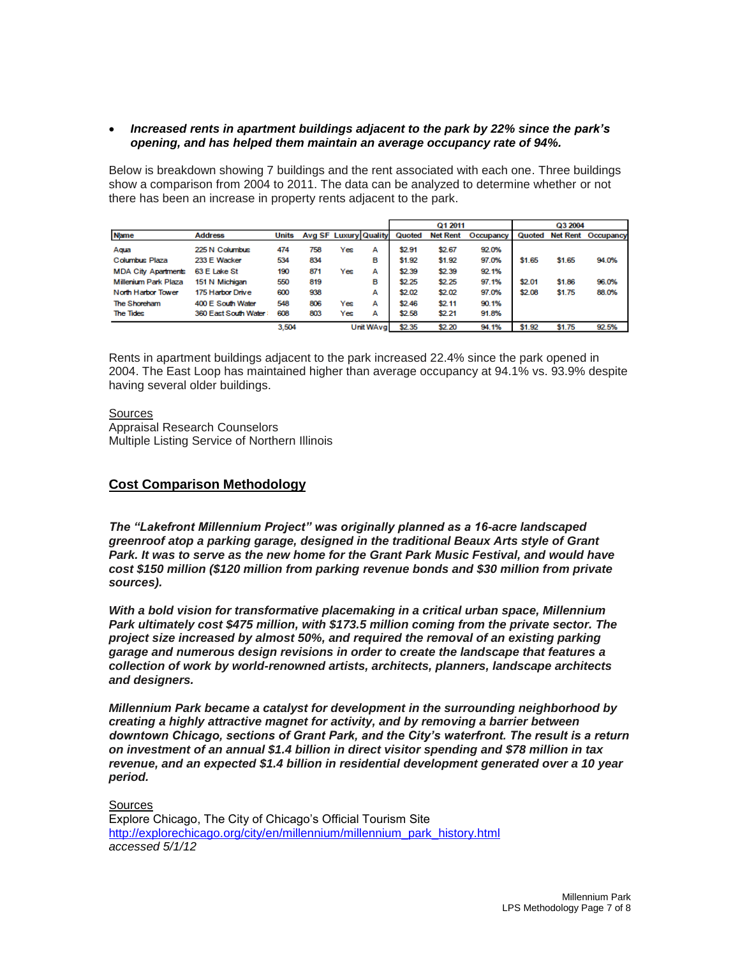### *Increased rents in apartment buildings adjacent to the park by 22% since the park's opening, and has helped them maintain an average occupancy rate of 94%.*

Below is breakdown showing 7 buildings and the rent associated with each one. Three buildings show a comparison from 2004 to 2011. The data can be analyzed to determine whether or not there has been an increase in property rents adjacent to the park.

|                            |                      |       |                       |            |   |        | Q1 2011         |           | Q3 2004 |        |                           |  |
|----------------------------|----------------------|-------|-----------------------|------------|---|--------|-----------------|-----------|---------|--------|---------------------------|--|
| <b>Name</b>                | <b>Address</b>       | Units | Avg SF Luxury Quality |            |   | Quoted | <b>Net Rent</b> | Occupancy |         |        | Quoted Net Rent Occupancy |  |
| Agua                       | 225 N Columbus       | 474   | 758                   | Yes        | А | \$2.91 | \$2.67          | 92.0%     |         |        |                           |  |
| Columbus Plaza             | 233 E Wacker         | 534   | 834                   |            | в | \$1.92 | \$1.92          | 97.0%     | \$1.65  | \$1.65 | 94.0%                     |  |
| <b>MDA City Apartments</b> | 63 E Lake St         | 190   | 871                   | Yes        | А | \$2.39 | \$2.39          | 92.1%     |         |        |                           |  |
| Millenium Park Plaza       | 151 N Michigan       | 550   | 819                   |            | в | \$2.25 | \$2.25          | 97.1%     | \$2.01  | \$1.86 | 96.0%                     |  |
| North Harbor Tower         | 175 Harbor Drive     | 600   | 938                   |            | А | \$2.02 | \$2.02          | 97.0%     | \$2.08  | \$1.75 | 88.0%                     |  |
| The Shoreham               | 400 E South Water    | 548   | 806                   | Yes        | А | \$2.46 | \$2.11          | 90.1%     |         |        |                           |  |
| <b>The Tides</b>           | 360 East South Water | 608   | 803                   | Yes        | А | \$2.58 | \$2.21          | 91.8%     |         |        |                           |  |
|                            |                      | 3.504 |                       | Unit WAval |   | \$2.35 | \$2.20          | 94.1%     | \$1.92  | \$1.75 | 92.5%                     |  |

Rents in apartment buildings adjacent to the park increased 22.4% since the park opened in 2004. The East Loop has maintained higher than average occupancy at 94.1% vs. 93.9% despite having several older buildings.

#### Sources

Appraisal Research Counselors Multiple Listing Service of Northern Illinois

# **Cost Comparison Methodology**

*The "Lakefront Millennium Project" was originally planned as a 16-acre landscaped greenroof atop a parking garage, designed in the traditional Beaux Arts style of Grant Park. It was to serve as the new home for the Grant Park Music Festival, and would have cost \$150 million (\$120 million from parking revenue bonds and \$30 million from private sources).*

*With a bold vision for transformative placemaking in a critical urban space, Millennium Park ultimately cost \$475 million, with \$173.5 million coming from the private sector. The project size increased by almost 50%, and required the removal of an existing parking garage and numerous design revisions in order to create the landscape that features a collection of work by world-renowned artists, architects, planners, landscape architects and designers.*

*Millennium Park became a catalyst for development in the surrounding neighborhood by creating a highly attractive magnet for activity, and by removing a barrier between downtown Chicago, sections of Grant Park, and the City's waterfront. The result is a return on investment of an annual \$1.4 billion in direct visitor spending and \$78 million in tax revenue, and an expected \$1.4 billion in residential development generated over a 10 year period.*

**Sources** Explore Chicago, The City of Chicago's Official Tourism Site [http://explorechicago.org/city/en/millennium/millennium\\_park\\_history.html](http://explorechicago.org/city/en/millennium/millennium_park_history.html) *accessed 5/1/12*